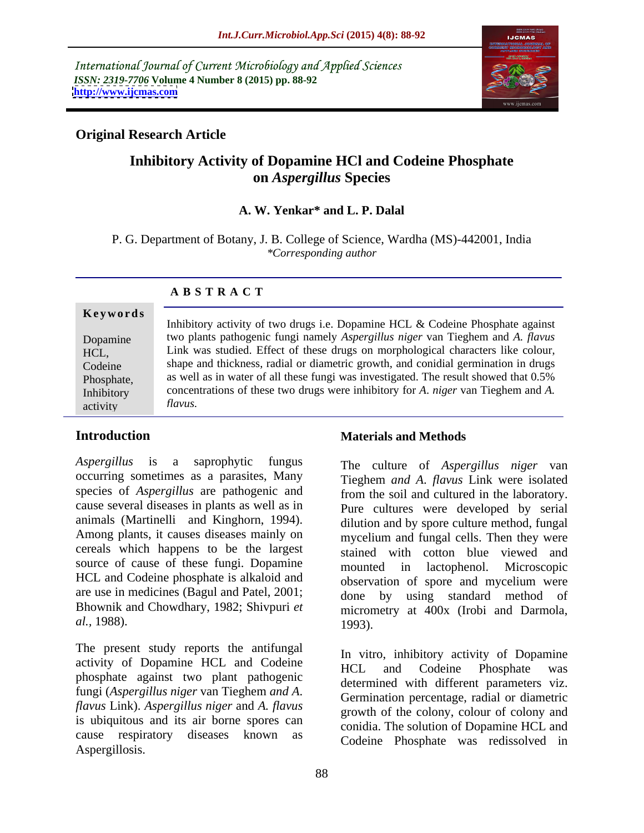International Journal of Current Microbiology and Applied Sciences *ISSN: 2319-7706* **Volume 4 Number 8 (2015) pp. 88-92 <http://www.ijcmas.com>**



### **Original Research Article**

# **Inhibitory Activity of Dopamine HCl and Codeine Phosphate on** *Aspergillus* **Species**

### **A. W. Yenkar\* and L. P. Dalal**

P. G. Department of Botany, J. B. College of Science, Wardha (MS)-442001, India *\*Corresponding author*

activity

Inhibitory activity of two drugs i.e. Dopamine HCL & Codeine Phosphate against two plants pathogenic fungi namely *Aspergillus niger* van Tieghem and *A. flavus* Dopamine HCL, Link was studied. Effect of these drugs on morphological characters like colour, shape and thickness, radial or diametric growth, and conidial germination in drugs Codeine as well as in water of all these fungi was investigated. The result showed that 0.5% Phosphate, Inhibitory concentrations of these two drugs were inhibitory for *A*. *niger* van Tieghem and *A*. *flavus.*

*Aspergillus* is a saprophytic fungus The culture of *Aspergillus niger* van occurring sometimes as a parasites, Many species of *Aspergillus* are pathogenic and cause several diseases in plants as well as in animals (Martinelli and Kinghorn, 1994). Among plants, it causes diseases mainly on cereals which happens to be the largest source of cause of these fungi. Dopamine mounted in lactophenol. Microscopic HCL and Codeine phosphate is alkaloid and are use in medicines (Bagul and Patel, 2001; Bhownik and Chowdhary, 1982; Shivpuri *et*

The present study reports the antifungal activity of Dopamine HCL and Codeine HCL and Codeine Phosphate was phosphate against two plant pathogenic fungi (*Aspergillus niger* van Tieghem *and A*. *flavus* Link). *Aspergillus niger* and *A. flavus* is ubiquitous and its air borne spores can cause respiratory diseases known as Aspergillosis.

### **Introduction Introduction Introduction Introduction Materials and Methods**

*al.,* 1988). Tieghem *and A*. *flavus* Link were isolated from the soil and cultured in the laboratory. Pure cultures were developed by serial dilution and by spore culture method, fungal mycelium and fungal cells. Then they were stained with cotton blue viewed and mounted in lactophenol. observation of spore and mycelium were done by using standard method of micrometry at 400x (Irobi and Darmola, 1993).

> In vitro, inhibitory activity of Dopamine HCL and Codeine Phosphate was determined with different parameters viz. Germination percentage, radial or diametric growth of the colony, colour of colony and conidia. The solution of Dopamine HCL and Codeine Phosphate was redissolved in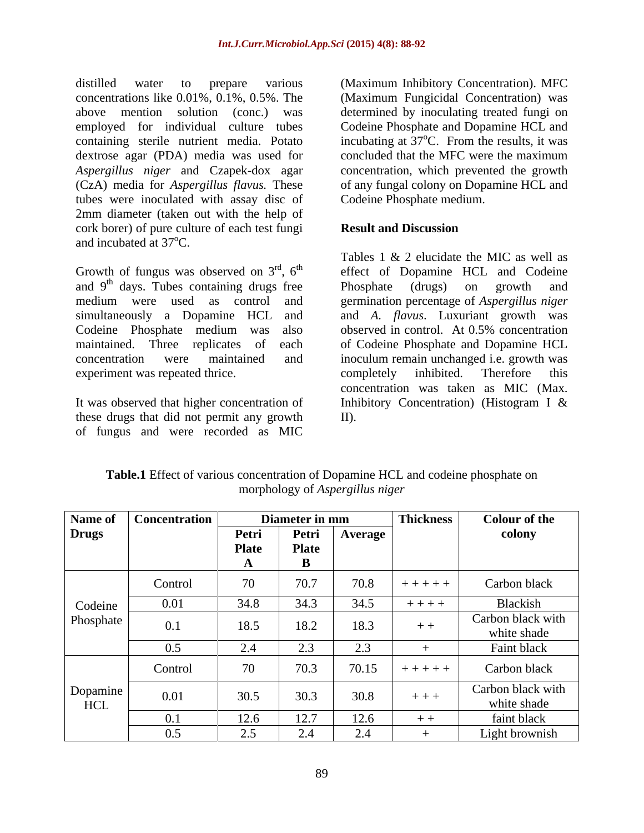distilled water to prepare various (Maximum Inhibitory Concentration). MFC concentrations like 0.01%, 0.1%, 0.5%. The above mention solution (conc.) was determined by inoculating treated fungi on employed for individual culture tubes Codeine Phosphate and Dopamine HCL and containing sterile nutrient media. Potato incubating at  $37^{\circ}$ C. From the results, it was dextrose agar (PDA) media was used for concluded that the MFC were the maximum *Aspergillus niger* and Czapek-dox agar concentration, which prevented the growth (CzA) media for *Aspergillus flavus.* These of any fungal colony on Dopamine HCL and tubes were inoculated with assay disc of 2mm diameter (taken out with the help of cork borer) of pure culture of each test fungi **Result and Discussion** and incubated at  $37^{\circ}$ C.

Growth of fungus was observed on  $3<sup>rd</sup>$ ,  $6<sup>th</sup>$  effect of Dopamine HCL and Codeine and  $9<sup>th</sup>$  days. Tubes containing drugs free Phosphate (drugs) on growth and medium were used as control and germination percentage of *Aspergillus niger* simultaneously a Dopamine HCL and and *A. flavus*. Luxuriant growth was Codeine Phosphate medium was also observed in control. At 0.5% concentration maintained. Three replicates of each of Codeine Phosphate and Dopamine HCL concentration were maintained and inoculum remain unchanged i.e. growth was experiment was repeated thrice.  $\blacksquare$  completely inhibited. Therefore this

these drugs that did not permit any growth II. of fungus and were recorded as MIC

(Maximum Fungicidal Concentration) was oC. From the results, it was concluded that the MFC were the maximum Codeine Phosphate medium.

### **Result and Discussion**

It was observed that higher concentration of Inhibitory Concentration) (Histogram I & Tables 1 & 2 elucidate the MIC as well as Phosphate (drugs) on growth and observed in control. At 0.5% concentration completely inhibited. Therefore this concentration was taken as MIC (Max. II).

|              | Name of   Concentration |                     | Diameter in mm                              |         | <b>Thickness</b> | <b>Colour of the</b>             |
|--------------|-------------------------|---------------------|---------------------------------------------|---------|------------------|----------------------------------|
| <b>Drugs</b> |                         | Petri               | Petri                                       | Average |                  | colony                           |
|              |                         | <b>Plate</b>        | <b>Plate</b>                                |         |                  |                                  |
|              |                         |                     |                                             |         |                  |                                  |
|              | Control                 | $70^{\circ}$<br>7 V | 70.7                                        | 70.8    | $+ + + + + +$    | Carbon black                     |
| Codeine      | 0.01                    | 34.8                | 34.3                                        | 34.5    | $+ + + +$        | Blackish                         |
| Phosphate    | 0.1                     | 18.5                | 18.2                                        | 18.3    | $++$             | Carbon black with                |
|              |                         |                     |                                             |         |                  | white shade                      |
|              | 0.5                     | $\angle .4$         | $\sim$ $\sim$<br>$\mathcal{L}. \mathcal{I}$ | $\cap$  |                  | Faint black                      |
|              | Control                 | 70                  | 70.3                                        | 70.15   | $+ + + + + +$    | Carbon black                     |
| Dopamine     | 0.01                    | 30.5                | 30.3                                        | 30.8    | $+ + +$          | Carbon black with<br>white shade |
| HCL          | 0.1                     | 12.6                | 12.7                                        | 12.6    | $+ +$            | faint black                      |
|              |                         |                     |                                             |         |                  |                                  |
|              | 0.5                     | 2.5                 | 2.4                                         | 2.4     |                  | Light brownish                   |

**Table.1** Effect of various concentration of Dopamine HCL and codeine phosphate on morphology of *Aspergillus niger*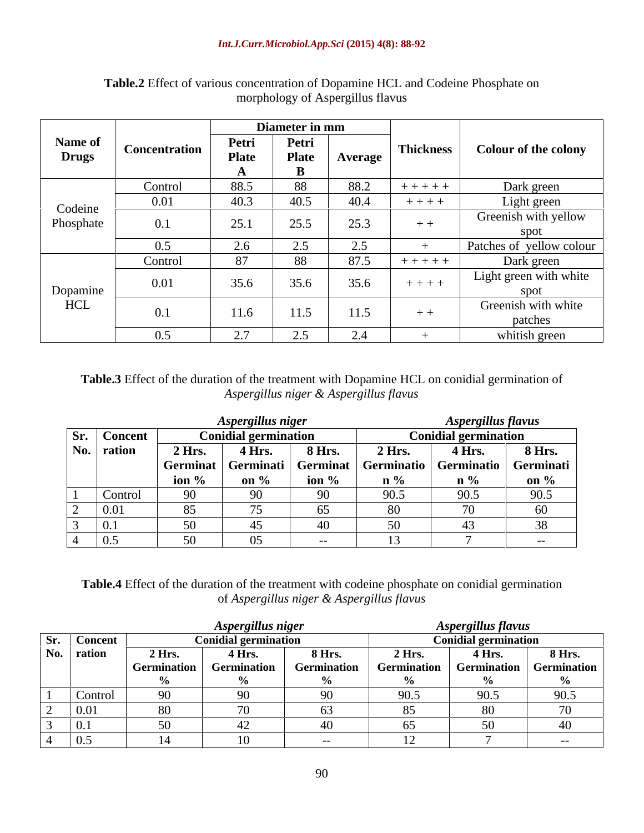### *Int.J.Curr.Microbiol.App.Sci* **(2015) 4(8): 88-92**

|                         |                      |                                 | Diameter in mm |                | <b>Thickness</b> |                             |
|-------------------------|----------------------|---------------------------------|----------------|----------------|------------------|-----------------------------|
| Name of<br><b>Drugs</b> | <b>Concentration</b> | Petri                           | Petri          |                |                  | <b>Colour of the colony</b> |
|                         |                      | <b>Plate</b>                    | <b>Plate</b>   | <b>Average</b> |                  |                             |
|                         |                      |                                 |                |                |                  |                             |
|                         | Control              | 88.5                            | 88             | 88.2           | $+++++$          | Dark green                  |
| Codeine<br>Phosphate    | 0.01                 | 40.3                            | 40.5           | 40.4           | $+ + + +$        | Light green                 |
|                         |                      |                                 |                |                |                  | Greenish with yellow        |
|                         | 0.1                  | 25.1                            | 25.5           | 25.3           | $+ +$            | spot                        |
|                         | 0.5                  | 2.6                             | 2.5            | 2.5            |                  | Patches of yellow colour    |
|                         | Control              | $\Omega$                        | 88             | 87.5           | $+ + + + +$      | Dark green                  |
| Dopamine<br>HCL         |                      |                                 |                |                |                  | Light green with white      |
|                         | 0.01                 | 35.6                            | 35.6           | 35.6           | $+ + + + +$      | spot                        |
|                         |                      |                                 |                |                |                  | Greenish with white         |
|                         | 0.1                  | 11.6                            | 11.5           | 11.5           | $+ +$            | patches                     |
|                         | 0.5                  | $\Omega$<br>$\angle$ . $\angle$ | 2.5            | 2.4            |                  | whitish green               |

## **Table.2** Effect of various concentration of Dopamine HCL and Codeine Phosphate on morphology of Aspergillus flavus

**Table.3** Effect of the duration of the treatment with Dopamine HCL on conidial germination of *Aspergillus niger & Aspergillus flavus*

|                |          | Aspergillus niger           |               |                                                                       | <i><b>Aspergillus flavus</b></i> |          |
|----------------|----------|-----------------------------|---------------|-----------------------------------------------------------------------|----------------------------------|----------|
| Sr. Concent    |          | <b>Conidial germination</b> |               |                                                                       | <b>Conidial germination</b>      |          |
| No. $ $ ration | 2 Hrs.   | <b>4 Hrs.</b>               | <b>8 Hrs.</b> | $2$ Hrs.                                                              | 4Hrs.                            | $8$ Hrs. |
|                |          |                             |               | Germinat   Germinati   Germinat   Germinatio   Germinatio   Germinati |                                  |          |
|                | ion $\%$ | on $\%$                     | ion %         | $n \frac{0}{6}$                                                       |                                  |          |
|                |          |                             |               |                                                                       |                                  |          |
|                |          |                             |               |                                                                       |                                  |          |
|                |          |                             |               |                                                                       |                                  |          |
|                |          |                             |               |                                                                       |                                  |          |

**Table.4** Effect of the duration of the treatment with codeine phosphate on conidial germination of *Aspergillus niger & Aspergillus flavus*

|                |        | <b>Aspergillus niger</b>    |               |                             | Aspergillus flavus                                                                                                                                                  |      |  |
|----------------|--------|-----------------------------|---------------|-----------------------------|---------------------------------------------------------------------------------------------------------------------------------------------------------------------|------|--|
| Sr. Concent    |        | <b>Conidial germination</b> |               | <b>Conidial germination</b> |                                                                                                                                                                     |      |  |
| No. $ $ ration | 2 Hrs. | 4 Hrs.                      | <b>8 Hrs.</b> |                             | $\begin{array}{ c c c c c }\n\hline\n2 \text{ Hrs.} & \overline{4} \text{ Hrs.} & \text{8 Hrs.} \\ \text{Germanation} & \text{Germanation} & \text{1}\n\end{array}$ |      |  |
|                |        | <b>Germination</b>          | Germination   |                             |                                                                                                                                                                     |      |  |
|                |        |                             |               |                             |                                                                                                                                                                     |      |  |
|                |        |                             |               | 90.5                        | 90.5                                                                                                                                                                | 90.5 |  |
|                |        |                             |               |                             |                                                                                                                                                                     |      |  |
|                |        |                             |               |                             |                                                                                                                                                                     |      |  |
|                |        |                             |               |                             |                                                                                                                                                                     |      |  |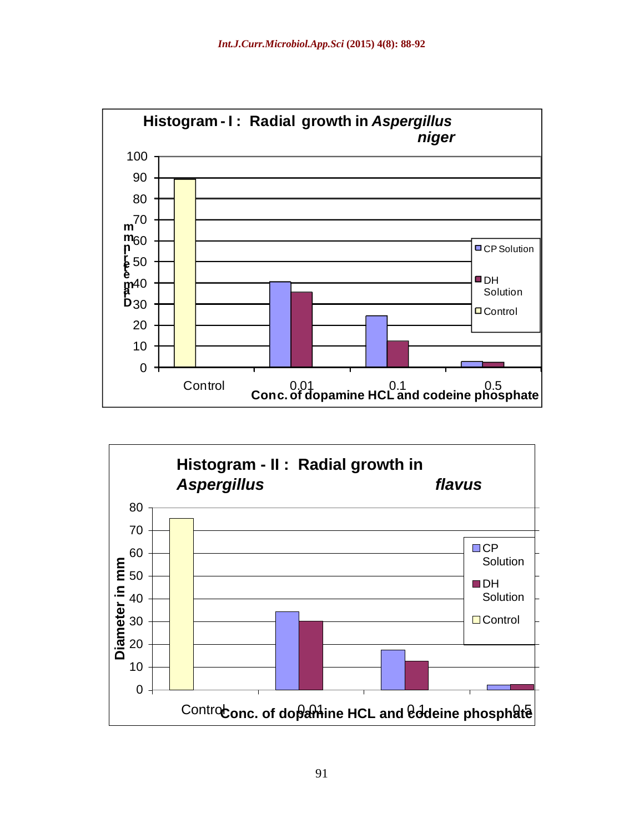